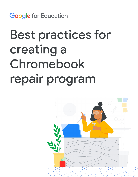**Google** for Education

# Best practices for creating a Chromebook repair program

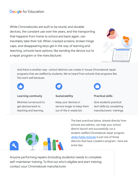## **Google** for Education

While Chromebooks are built to be sturdy and durable devices, the constant use over the years, and the transporting that happens from home to school and back again, can inevitably take their toll. When cracked screens, broken hinge caps, and disappearing keys get in the way of learning and teaching, schools have options, like sending the device out to a repair program or the manufacturer.



And there is another way—school districts can create in-house Chromebook repair programs that are staffed by students. We've heard from schools that programs like this work well because:



#### **Learning continuity**

Minimize turnaround to get devices back to teaching and learning.



Keep your devices in service longer to keep them out of the e-waste bin.



#### **Practical skills**

Give students practical tech skills by completing manufacturers' trainings.



The best practices below, shared directly from schools and admins, can help your school district launch and successfully run a student-staffed Chromebook repair program. [Jenks Public Schools](https://edu.google.com/intl/ALL_us/why-google/case-studies/jenks-public-schools) is just one of those districts that have created a program—here are some tips.

Anyone performing repairs (including students) needs to complete self-maintainer training. To find out who's eligible and start training, contact your Chromebook manufacturer.